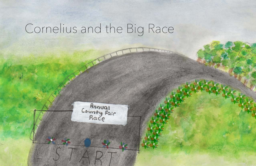## Cornelius and the Big Race

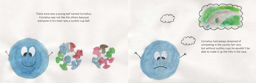There once was a young ball named Cornelius. Cornelius was not like the others because everyone in his town was a suction cup ball.





Cornelius had always dreamed of competing in the county fair race, but without suction cups he wouldn't be able to make it up the hills in the race.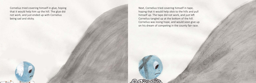Cornelius tried covering himself in glue, hoping that it would help him up the hill. The glue did not work, and just ended up with Cornelius being sad and sticky.

Next, Cornelius tried covering himself in tape, hoping that it would help stick to the hills and pull himself up. The tape did not work, and just left Cornelius tangled up at the bottom of the hill. Cornelius was losing hope, and would soon give up on his dream of competing in the county fair race.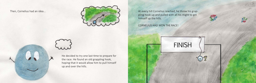Then, Cornelius had an idea...



He decided to try one last time to prepare for the race. He found an old grappling hook, hoping that it would allow him to pull himself up and over the hills.

At every hill Cornelius reached, he threw his grappling hook up and pulled with all his might to get himself up the hills.

CORNELIUS HAD WON THE RACE!